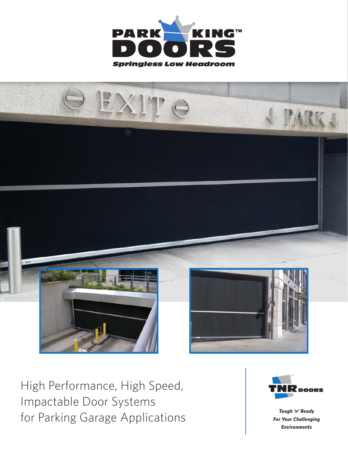



High Performance, High Speed, Impactable Door Systems for Parking Garage Applications



*Tough 'n' Ready For Your Challenging Environments*